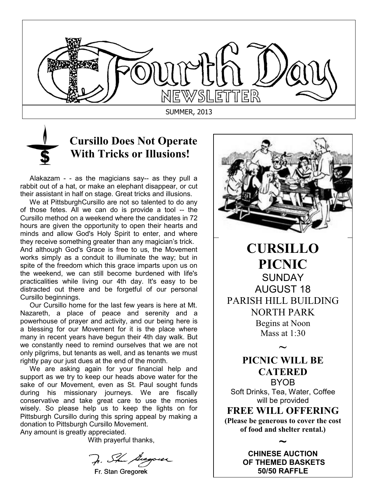

## **Cursillo Does Not Operate With Tricks or Illusions!**

 Alakazam - - as the magicians say-- as they pull a rabbit out of a hat, or make an elephant disappear, or cut their assistant in half on stage. Great tricks and illusions.

 We at PittsburghCursillo are not so talented to do any of those fetes. All we can do is provide a tool -- the Cursillo method on a weekend where the candidates in 72 hours are given the opportunity to open their hearts and minds and allow God's Holy Spirit to enter, and where they receive something greater than any magician's trick. And although God's Grace is free to us, the Movement works simply as a conduit to illuminate the way; but in spite of the freedom which this grace imparts upon us on the weekend, we can still become burdened with life's practicalities while living our 4th day. It's easy to be distracted out there and be forgetful of our personal Cursillo beginnings.

 Our Cursillo home for the last few years is here at Mt. Nazareth, a place of peace and serenity and a powerhouse of prayer and activity, and our being here is a blessing for our Movement for it is the place where many in recent years have begun their 4th day walk. But we constantly need to remind ourselves that we are not only pilgrims, but tenants as well, and as tenants we must rightly pay our just dues at the end of the month.

 We are asking again for your financial help and support as we try to keep our heads above water for the sake of our Movement, even as St. Paul sought funds during his missionary journeys. We are fiscally conservative and take great care to use the monies wisely. So please help us to keep the lights on for Pittsburgh Cursillo during this spring appeal by making a donation to Pittsburgh Cursillo Movement.

Any amount is greatly appreciated.

With prayerful thanks,

J. Ste Georgeser

Fr. Stan Gregorek



**CURSILLO PICNIC SUNDAY** AUGUST 18 PARISH HILL BUILDING **NORTH PARK** Begins at Noon Mass at  $1:30$ 

> **PICNIC WILL BE CATERED BYOB**

**~**

Soft Drinks, Tea, Water, Coffee will be provided

**FREE WILL OFFERING (Please be generous to cover the cost of food and shelter rental.)**

> ~ **CHINESE AUCTION OF THEMED BASKETS 50/50 RAFFLE**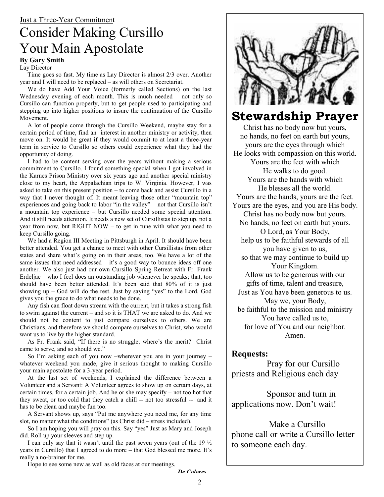# Consider Making Cursillo Your Main Apostolate

**By Gary Smith**

Lay Director

 $\frac{1}{2}$  year and I will need to be replaced – as will others on Secretariat. Time goes so fast. My time as Lay Director is almost  $2/3$  over. Another

We do have Add Your Voice (formerly called Sections) on the last Wednesday evening of each month. This is much needed  $-$  not only so Cursillo can function properly, but to get people used to participating and stepping up into higher positions to insure the continuation of the Cursillo Movement.

A lot of people come through the Cursillo Weekend, maybe stay for a  $\chi$  certain period of time, find an interest in another ministry or activity, then move on. It would be great if they would commit to at least a three-year term in service to Cursillo so others could experience what they had the opportunity of doing.

I had to be content serving over the years without making a serious I had to be content serving over the years without making a serious FRAME TO CONSILLET THE VIDEO CONSILLET THE STATE OF THE STATE OF THE STATE RESERVE THE STATE OF THE STATE OF THE STATE OF THE STATE OF THE STATE OF THE STATE OF THE STATE OF THE STATE OF THE STATE OF THE STATE OF THE STATE the Karnes Prison Ministry over six years ago and another special ministry close to my heart, the Appalachian trips to W. Virginia. However, I was asked to take on this present position  $-$  to come back and assist Cursillo in a way that I never thought of. It meant teaving those other mountain top  $\mathbf{V}$  is to experiences and going back to labor "in the valley" – not that Cursillo isn't  $R_{\text{H}}$  a mountain top experience – but Cursillo needed some special attention. And it still needs attention. It needs a new set of Cursillistas to step up, not a year from now, but RIGHT NOW – to get in tune with what you need to way that I never thought of. It meant leaving those other "mountain top" keep Cursillo going.

keep Cursillo going.<br>We had a Region III Meeting in Pittsburgh in April. It should have been We had a Region III Meeting in I itsouigh in April. It should have been<br>better attended. You get a chance to meet with other Cursillistas from other states and share what's going on in their areas, too. We have a lot of the same issues that need addressed  $-$  it's a good way to bounce ideas off one another. We also just had our own Cursillo Spring Retreat with Fr. Frank Erdeljac – who I feel does an outstanding job whenever he speaks; that, too Shound have been better attended. It's been said that  $\frac{30}{0}$  or it is just<br>showing up – God will do the rest. Just by saying "yes" to the Lord, God  $\lim_{x \to \infty} g(x)$ should have been better attended. It's been said that 80% of it is just gives you the grace to do what needs to be done.

Any fish can float down stream with the current, but it takes a strong fish to swim against the current – and so it is THAT we are asked to do. And we should not be content to just compare ourselves to others. We are<br>Claim and therefore a sheal is expressed and other Claim the sould Christians, and therefore we should compare ourselves to Christ, who would<br>want us to live by the higher standard want us to live by the higher standard.

As Fr. Frank said, "If there is no struggle, where's the merit? Christ came to serve, and so should we."

So I'm asking each of you now -wherever you are in your journey  $$ whatever weekend you made, give it serious thought to making Cursillo your main apostolate for a 3-year period.

At the last set of weekends, I explained the difference between a Volunteer and a Servant: A Volunteer agrees to show up on certain days, at certain times, for a certain job. And he or she may specify – not too hot that they sweat, or too cold that they catch a chill -- not too stressful -- and it has to be clean and maybe fun too.

A Servant shows up, says "Put me anywhere you need me, for any time slot, no matter what the conditions" (as Christ did  $-$  stress included).

So I am hoping you will pray on this. Say "yes" Just as Mary and Joseph did. Roll up your sleeves and step up.

I can only say that it wasn't until the past seven years (out of the 19  $\frac{1}{2}$ years in Cursillo) that I agreed to do more – that God blessed me more. It's really a no-brainer for me.

Hope to see some new as well as old faces at our meetings.



## **Stewardship Prayer**

Christ has no body now but yours, no hands, no feet on earth but yours, yours are the eyes through which He looks with compassion on this world. Yours are the feet with which He walks to do good. Yours are the hands with which He blesses all the world. Yours are the hands, yours are the feet. Yours are the eyes, and you are His body. Christ has no body now but yours. No hands, no feet on earth but yours. O Lord, as Your Body, help us to be faithful stewards of all you have given to us, so that we may continue to build up Your Kingdom. Allow us to be generous with our gifts of time, talent and treasure, Just as You have been generous to us. May we, your Body, be faithful to the mission and ministry You have called us to, for love of You and our neighbor. Amen.

#### **Requests:**

Pray for our Cursillo priests and Religious each day

Sponsor and turn in applications now. Don't wait!

Make a Cursillo phone call or write a Cursillo letter to someone each day.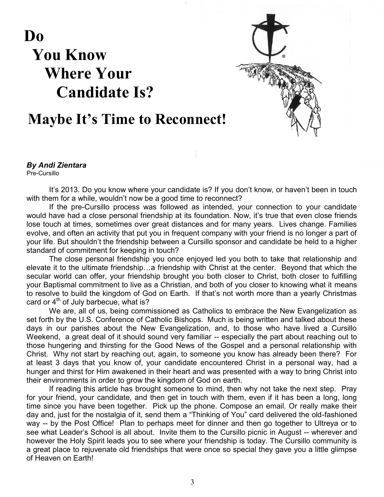**Do You Know Where Your Candidate Is?**



# **Maybe It's Time to Reconnect!**

*By Andi Zientara* Pre-Cursillo

It's 2013. Do you know where your candidate is? If you don't know, or haven't been in touch with them for a while, wouldn't now be a good time to reconnect?

If the pre-Cursillo process was followed as intended, your connection to your candidate would have had a close personal friendship at its foundation. Now, it's true that even close friends lose touch at times, sometimes over great distances and for many years. Lives change. Families evolve, and often an activity that put you in frequent company with your friend is no longer a part of your life. But shouldn't the friendship between a Cursillo sponsor and candidate be held to a higher standard of commitment for keeping in touch?

The close personal friendship you once enjoyed led you both to take that relationship and elevate it to the ultimate friendship…a friendship with Christ at the center. Beyond that which the secular world can offer, your friendship brought you both closer to Christ, both closer to fulfilling your Baptismal commitment to live as a Christian, and both of you closer to knowing what it means to resolve to build the kingdom of God on Earth. If that's not worth more than a yearly Christmas card or  $4<sup>th</sup>$  of July barbecue, what is?

We are, all of us, being commissioned as Catholics to embrace the New Evangelization as set forth by the U.S. Conference of Catholic Bishops. Much is being written and talked about these days in our parishes about the New Evangelization, and, to those who have lived a Cursillo Weekend, a great deal of it should sound very familiar -- especially the part about reaching out to those hungering and thirsting for the Good News of the Gospel and a personal relationship with Christ. Why not start by reaching out, again, to someone you know has already been there? For at least 3 days that you know of, your candidate encountered Christ in a personal way, had a hunger and thirst for Him awakened in their heart and was presented with a way to bring Christ into their environments in order to grow the kingdom of God on earth.

If reading this article has brought someone to mind, then why not take the next step. Pray for your friend, your candidate, and then get in touch with them, even if it has been a long, long time since you have been together. Pick up the phone. Compose an email. Or really make their day and, just for the nostalgia of it, send them a "Thinking of You" card delivered the old-fashioned way -- by the Post Office! Plan to perhaps meet for dinner and then go together to Ultreya or to see what Leader's School is all about. Invite them to the Cursillo picnic in August -- wherever and however the Holy Spirit leads you to see where your friendship is today. The Cursillo community is a great place to rejuvenate old friendships that were once so special they gave you a little glimpse of Heaven on Earth!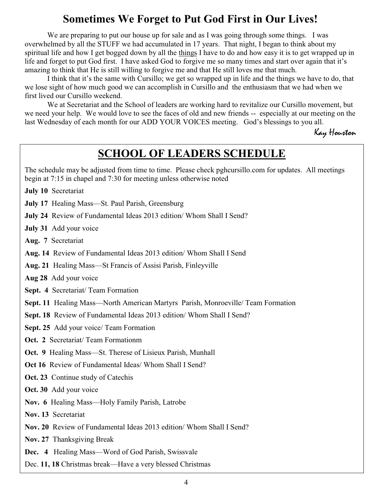## **Sometimes We Forget to Put God First in Our Lives!**

We are preparing to put our house up for sale and as I was going through some things. I was overwhelmed by all the STUFF we had accumulated in 17 years. That night, I began to think about my spiritual life and how I get bogged down by all the things I have to do and how easy it is to get wrapped up in life and forget to put God first. I have asked God to forgive me so many times and start over again that it's amazing to think that He is still willing to forgive me and that He still loves me that much.

I think that it's the same with Cursillo; we get so wrapped up in life and the things we have to do, that we lose sight of how much good we can accomplish in Cursillo and the enthusiasm that we had when we first lived our Cursillo weekend.

Cursillo ar<br>
working ha<br>
working ha<br>
bld and nev<br>
blCES med<br> **DERS**<br>
e check pg<br>
erwise note<br>
hom Shal<br>
nleyville<br>
ish, Monro<br>
Vhom Shal<br>
mleyville<br>
ish, Monro<br>
Munhall<br>
end? We at Secretariat and the School of leaders are working hard to revitalize our Cursillo movement, but we need your help. We would love to see the faces of old and new friends -- especially at our meeting on the last Wednesday of each month for our ADD YOUR VOICES meeting. God's blessings to you all.

Kay Houston

## **SCHOOL OF LEADERS SCHEDULE**

The schedule may be adjusted from time to time. Please check pghcursillo.com for updates. All meetings begin at  $7:15$  in chapel and  $7:30$  for meeting unless otherwise noted

**July 10** Secretariat

**July 17** Healing Mass—St. Paul Parish, Greensburg

**July 24** Review of Fundamental Ideas 2013 edition/ Whom Shall I Send?

**July 31** Add your voice

Aug. 7 Secretariat

Aug. 14 Review of Fundamental Ideas 2013 edition/ Whom Shall I Send

Aug. 21 Healing Mass—St Francis of Assisi Parish, Finleyville

Aug 28 Add your voice

**Sept. 4 Secretariat/Team Formation** 

**Sept. 11** Healing Mass—North American Martyrs Parish, Monroeville/Team Formation

**Sept. 18** Review of Fundamental Ideas 2013 edition/ Whom Shall I Send?

**Sept. 25** Add your voice/ Team Formation

**Oct. 2** Secretariat/Team Formationm

**Oct. 9** Healing Mass—St. Therese of Lisieux Parish, Munhall

**Oct 16** Review of Fundamental Ideas/ Whom Shall I Send?

**Oct. 23** Continue study of Catechis

**Oct. 30** Add your voice

**Nov. 6** Healing Mass—Holy Family Parish, Latrobe

**Nov. 13 Secretariat** 

**Nov. 20** Review of Fundamental Ideas 2013 edition/ Whom Shall I Send?

**Nov. 27** Thanksgiving Break

**Dec. 4** Healing Mass—Word of God Parish, Swissvale

Dec. 11, 18 Christmas break—Have a very blessed Christmas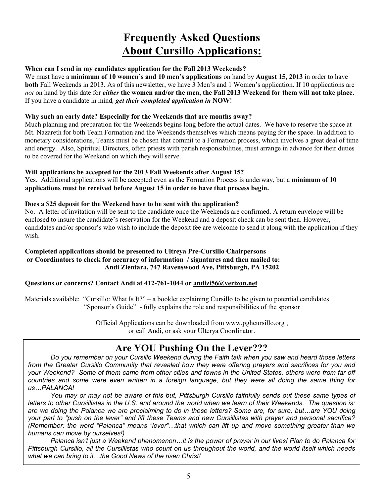## **Frequently Asked Questions About Cursillo Applications:**

#### **When can I send in my candidates application for the Fall 2013 Weekends?**

We must have a **minimum of 10 women's and 10 men's applications** on hand by **August 15, 2013** in order to have **both** Fall Weekends in 2013. As of this newsletter, we have 3 Men's and 1 Women's application. If 10 applications are *not* on hand by this date for *either* the women and/or the men, the Fall 2013 Weekend for them will not take place. If you have a candidate in mind, get their completed application in NOW!

#### **Why such an early date? Especially for the Weekends that are months away?**

Much planning and preparation for the Weekends begins long before the actual dates. We have to reserve the space at Mt. Nazareth for both Team Formation and the Weekends themselves which means paying for the space. In addition to monetary considerations, Teams must be chosen that commit to a Formation process, which involves a great deal of time and energy. Also, Spiritual Directors, often priests with parish responsibilities, must arrange in advance for their duties to be covered for the Weekend on which they will serve.

#### **Will applications be accepted for the 2013 Fall Weekends after August 15?**

Yes. Additional applications will be accepted even as the Formation Process is underway, but a **minimum of 10 applications must be received before August 15 in order to have that process begin.**

#### **Does a \$25 deposit for the Weekend have to be sent with the application?**

No. A letter of invitation will be sent to the candidate once the Weekends are confirmed. A return envelope will be enclosed to insure the candidate's reservation for the Weekend and a deposit check can be sent then. However, candidates and/or sponsor's who wish to include the deposit fee are welcome to send it along with the application if they wish.

#### **Completed applications should be presented to Ultreya Pre-Cursillo Chairpersons or Coordinators to check for accuracy of information / signatures and then mailed to: Andi Zientara, 747 Ravenswood Ave, Pittsburgh, PA 15202**

#### **Questions or concerns? Contact Andi at 412-761-1044 or andizi56@verizon.net**

Materials available: "Cursillo: What Is It?" – a booklet explaining Cursillo to be given to potential candidates "Sponsor's Guide" - fully explains the role and responsibilities of the sponsor

> Official Applications can be downloaded from www.pghcursillo.org, or call Andi, or ask your Ulterya Coordinator.

## **Are YOU Pushing On the Lever???**

*Do you remember on your Cursillo Weekend during the Faith talk when you saw and heard those letters from the Greater Cursillo Community that revealed how they were offering prayers and sacrifices for you and your Weekend? Some of them came from other cities and towns in the United States, others were from far off countries and some were even written in a foreign language, but they were all doing the same thing for us…PALANCA!* 

*You may or may not be aware of this but, Pittsburgh Cursillo faithfully sends out these same types of letters to other Cursillistas in the U.S. and around the world when we learn of their Weekends. The question is: are we doing the Palanca we are proclaiming to do in these letters? Some are, for sure, but…are YOU doing your part to "push on the lever" and lift these Teams and new Cursillistas with prayer and personal sacrifice? (Remember: the word "Palanca" means "lever"…that which can lift up and move something greater than we humans can move by ourselves!)*

*Palanca isn't just a Weekend phenomenon…it is the power of prayer in our lives! Plan to do Palanca for Pittsburgh Cursillo, all the Cursillistas who count on us throughout the world, and the world itself which needs what we can bring to it…the Good News of the risen Christ!*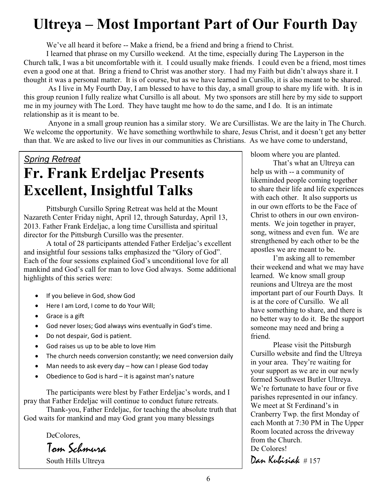# **Ultreya – Most Important Part of Our Fourth Day**

We've all heard it before -- Make a friend, be a friend and bring a friend to Christ.

I learned that phrase on my Cursillo weekend. At the time, especially during The Layperson in the Church talk, I was a bit uncomfortable with it. I could usually make friends. I could even be a friend, most times even a good one at that. Bring a friend to Christ was another story. I had my Faith but didn't always share it. I thought it was a personal matter. It is of course, but as we have learned in Cursillo, it is also meant to be shared.

As I live in My Fourth Day, I am blessed to have to this day, a small group to share my life with. It is in this group reunion I fully realize what Cursillo is all about. My two sponsors are still here by my side to support The in my journey with The Lord. They have taught me how to do the same, and I do. It is an intimate relationship as it is meant to be.

Anyone in a small group reunion has a similar story. We are Cursillistas. We are the laity in The Church. We welcome the opportunity. We have something worthwhile to share, Jesus Christ, and it doesn't get any better than that. We are asked to live our lives in our communities as Christians. As we have come to understand,

# *Spring Retreat* **Fr. Frank Erdeljac Presents Excellent, Insightful Talks**

Pittsburgh Cursillo Spring Retreat was held at the Mount Nazareth Center Friday night, April 12, through Saturday, April 13, 2013. Father Frank Erdeljac, a long time Cursillista and spiritual director for the Pittsburgh Cursillo was the presenter.

A total of 28 participants attended Father Erdeljac's excellent and insightful four sessions talks emphasized the "Glory of God". Each of the four sessions explained God's unconditional love for all mankind and God's call for man to love God always. Some additional highlights of this series were:

- If you believe in God, show God
- Here I am Lord, I come to do Your Will;
- $\bullet$  Grace is a gift
- God never loses; God always wins eventually in God's time.
- Do not despair, God is patient.
- God raises us up to be able to love Him
- The church needs conversion constantly; we need conversion daily
- $\bullet$  Man needs to ask every day how can I please God today
- $\bullet$  Obedience to God is hard it is against man's nature

The participants were blest by Father Erdeljac's words, and I pray that Father Erdeljac will continue to conduct future retreats.

Thank-you, Father Erdeljac, for teaching the absolute truth that God waits for mankind and may God grant you many blessings

DeColores.

Tom Schmura

South Hills Ultreya

bloom where you are planted.

That's what an Ultreya can help us with  $-$  a community of likeminded people coming together to share their life and life experiences with each other. It also supports us in our own efforts to be the Face of Christ to others in our own environments. We join together in prayer, song, witness and even fun. We are strengthened by each other to be the apostles we are meant to be.

I'm asking all to remember their weekend and what we may have learned. We know small group reunions and Ultreya are the most important part of our Fourth Days. It is at the core of Cursillo. We all have something to share, and there is no better way to do it. Be the support someone may need and bring a friend.

Please visit the Pittsburgh Cursillo website and find the Ultreva in your area. They're waiting for your support as we are in our newly formed Southwest Butler Ultreva. We're fortunate to have four or five parishes represented in our infancy. We meet at St Ferdinand's in Cranberry Twp. the first Monday of each Month at 7:30 PM in The Upper Room located across the driveway from the Church. De Colores! Dan Kubisiak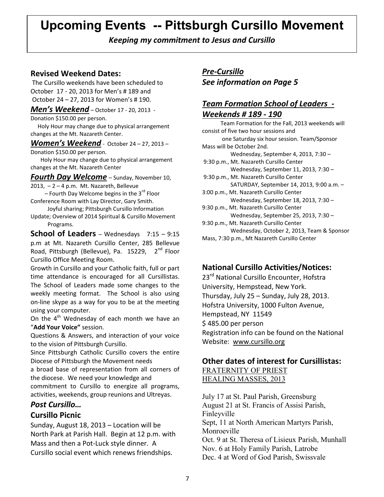# **Upcoming Events -- Pittsburgh Cursillo Movement**

*Keeping my commitment to Jesus and Cursillo*

#### **Revised Weekend Dates:**

 The Cursillo weekends have been scheduled to October 17 - 20, 2013 for Men's # 189 and October 24 – 27, 2013 for Women's # 190.

*Men's Weekend* – October 17 - 20, 2013 -

Donation \$150.00 per person.

 Holy Hour may change due to physical arrangement changes at the Mt. Nazareth Center.

*Women's Weekend* - October 24 – 27, 2013 – Donation \$150.00 per person.

 Holy Hour may change due to physical arrangement changes at the Mt. Nazareth Center

*Fourth Day Welcome* – Sunday, November 10,  $2013, -2 - 4$  p.m. Mt. Nazareth, Bellevue

– Fourth Day Welcome begins in the  $3^{rd}$  Floor Conference Room with Lay Director, Gary Smith.

 Joyful sharing; Pittsburgh Cursillo Information Update; Overview of 2014 Spiritual & Cursillo Movement Programs.

**School of Leaders** – Wednesdays 7:15 – 9:15 p.m at Mt. Nazareth Cursillo Center, 285 Bellevue Road, Pittsburgh (Bellevue), Pa. 15229, 2<sup>nd</sup> Floor Cursillo Office Meeting Room.

Growth in Cursillo and your Catholic faith, full or part time attendance is encouraged for all Cursillistas. The School of Leaders made some changes to the weekly meeting format. The School is also using on-line skype as a way for you to be at the meeting using your computer.

On the  $4<sup>th</sup>$  Wednesday of each month we have an "**Add Your Voice"** session.

Questions & Answers, and interaction of your voice to the vision of Pittsburgh Cursillo.

Since Pittsburgh Catholic Cursillo covers the entire Diocese of Pittsburgh the Movement needs

a broad base of representation from all corners of the diocese. We need your knowledge and commitment to Cursillo to energize all programs, activities, weekends, group reunions and Ultreyas.

#### *Post Cursillo…*

#### **Cursillo Picnic**

Sunday, August 18, 2013 – Location will be North Park at Parish Hall. Begin at 12 p.m. with Mass and then a Pot-Luck style dinner. A Cursillo social event which renews friendships.

## *Pre-Cursillo See information on Page 5*

### *Team Formation School of Leaders - Weekends # 189 - 190*

 Team Formation for the Fall, 2013 weekends will consist of five two hour sessions and one Saturday six hour session. Team/Sponsor Mass will be October 2nd. Wednesday, September 4, 2013, 7:30 – 9:30 p.m., Mt. Nazareth Cursillo Center Wednesday, September 11, 2013, 7:30 – 9:30 p.m., Mt. Nazareth Cursillo Center SATURDAY, September 14, 2013, 9:00 a.m. – 3:00 p.m., Mt. Nazareth Cursillo Center Wednesday, September 18, 2013, 7:30 – 9:30 p.m., Mt. Nazareth Cursillo Center Wednesday, September 25, 2013, 7:30 – 9:30 p.m., Mt. Nazareth Cursillo Center Wednesday, October 2, 2013, Team & Sponsor Mass, 7:30 p.m., Mt Nazareth Cursillo Center

### **National Cursillo Activities/Notices:**

23<sup>rd</sup> National Cursillo Encounter, Hofstra University, Hempstead, New York. Thursday, July 25 – Sunday, July 28, 2013. Hofstra University, 1000 Fulton Avenue, Hempstead, NY 11549 \$ 485.00 per person Registration info can be found on the National Website: www.cursillo.org

### **Other dates of interest for Cursillistas:**

FRATERNITY OF PRIEST HEALING MASSES, 2013

July 17 at St. Paul Parish, Greensburg August 21 at St. Francis of Assisi Parish, Finleyville Sept, 11 at North American Martyrs Parish, Monroeville Oct. 9 at St. Theresa of Lisieux Parish, Munhall Nov. 6 at Holy Family Parish, Latrobe Dec. 4 at Word of God Parish, Swissvale